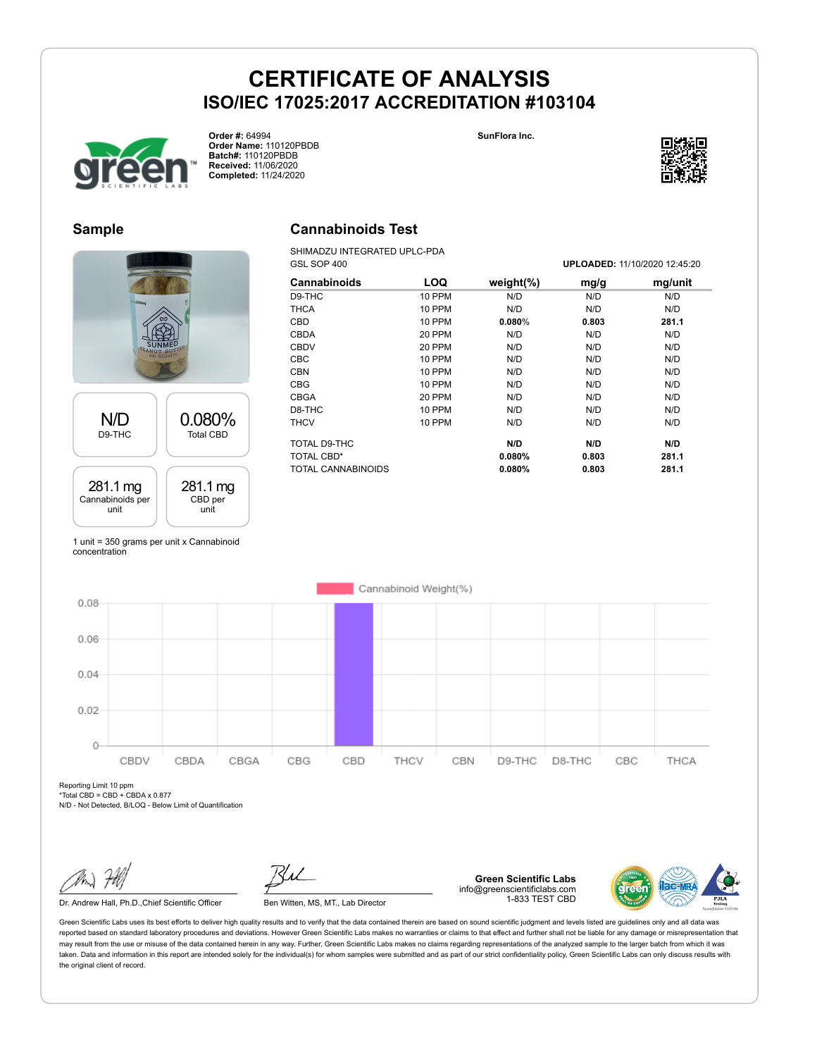



**Order #:** 64994 **Order Name:** 110120PBDB **Batch#:** 110120PBDB **Received:** 11/06/2020 **Completed:** 11/24/2020



### **Sample**



1 unit = 350 grams per unit x Cannabinoid concentration

### **Cannabinoids Test**

SHIMADZU INTEGRATED UPLC-PDA GSL SOP 400 **UPLOADED:** 11/10/2020 12:45:20

| Cannabinoids       | LOQ           | weight $(\%)$ | mg/g  | mg/unit |
|--------------------|---------------|---------------|-------|---------|
| D9-THC             | 10 PPM        | N/D           | N/D   | N/D     |
| <b>THCA</b>        | <b>10 PPM</b> | N/D           | N/D   | N/D     |
| <b>CBD</b>         | <b>10 PPM</b> | 0.080%        | 0.803 | 281.1   |
| <b>CBDA</b>        | 20 PPM        | N/D           | N/D   | N/D     |
| <b>CBDV</b>        | 20 PPM        | N/D           | N/D   | N/D     |
| <b>CBC</b>         | <b>10 PPM</b> | N/D           | N/D   | N/D     |
| <b>CBN</b>         | <b>10 PPM</b> | N/D           | N/D   | N/D     |
| <b>CBG</b>         | 10 PPM        | N/D           | N/D   | N/D     |
| <b>CBGA</b>        | 20 PPM        | N/D           | N/D   | N/D     |
| D8-THC             | <b>10 PPM</b> | N/D           | N/D   | N/D     |
| <b>THCV</b>        | 10 PPM        | N/D           | N/D   | N/D     |
| TOTAL D9-THC       |               | N/D           | N/D   | N/D     |
| <b>TOTAL CBD*</b>  |               | 0.080%        | 0.803 | 281.1   |
| TOTAL CANNABINOIDS |               | 0.080%        | 0.803 | 281.1   |



Reporting Limit 10 ppm

 $*Total CBD = CBD + CBDA \times 0.877$ 

N/D - Not Detected, B/LOQ - Below Limit of Quantification

Dr. Andrew Hall, Ph.D., Chief Scientific Officer Ben Witten, MS, MT., Lab Director

**Green Scientific Labs** info@greenscientificlabs.com 1-833 TEST CBD

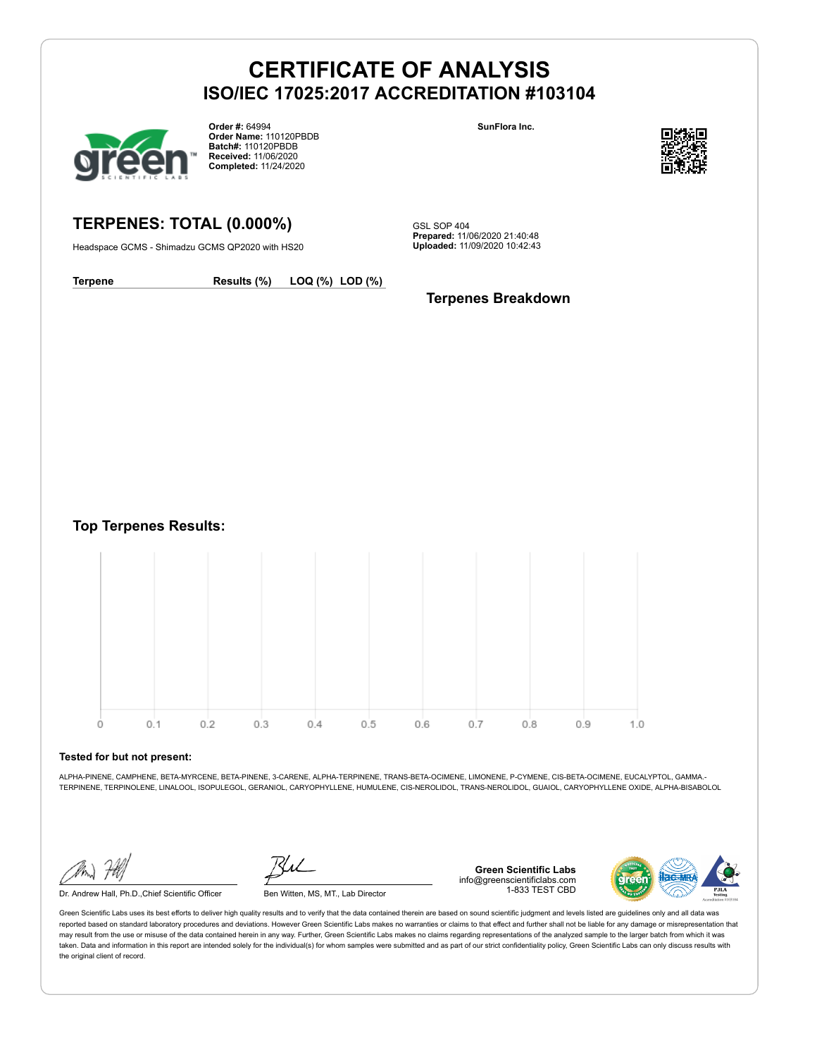

**Order #:** 64994 **Order Name:** 110120PBDB **Batch#:** 110120PBDB **Received:** 11/06/2020 **Completed:** 11/24/2020

**SunFlora Inc.**



**TERPENES: TOTAL (0.000%)**

Headspace GCMS - Shimadzu GCMS QP2020 with HS20

GSL SOP 404 **Prepared:** 11/06/2020 21:40:48 **Uploaded:** 11/09/2020 10:42:43

**Terpene Results (%) LOQ (%) LOD (%)**

**Terpenes Breakdown**

**Top Terpenes Results:**



#### **Tested for but not present:**

ALPHA-PINENE, CAMPHENE, BETA-MYRCENE, BETA-PINENE, 3-CARENE, ALPHA-TERPINENE, TRANS-BETA-OCIMENE, LIMONENE, P-CYMENE, CIS-BETA-OCIMENE, EUCALYPTOL, GAMMA.- TERPINENE, TERPINOLENE, LINALOOL, ISOPULEGOL, GERANIOL, CARYOPHYLLENE, HUMULENE, CIS-NEROLIDOL, TRANS-NEROLIDOL, GUAIOL, CARYOPHYLLENE OXIDE, ALPHA-BISABOLOL

Dr. Andrew Hall, Ph.D.,Chief Scientific Officer Ben Witten, MS, MT., Lab Director

**Green Scientific Labs** info@greenscientificlabs.com 1-833 TEST CBD

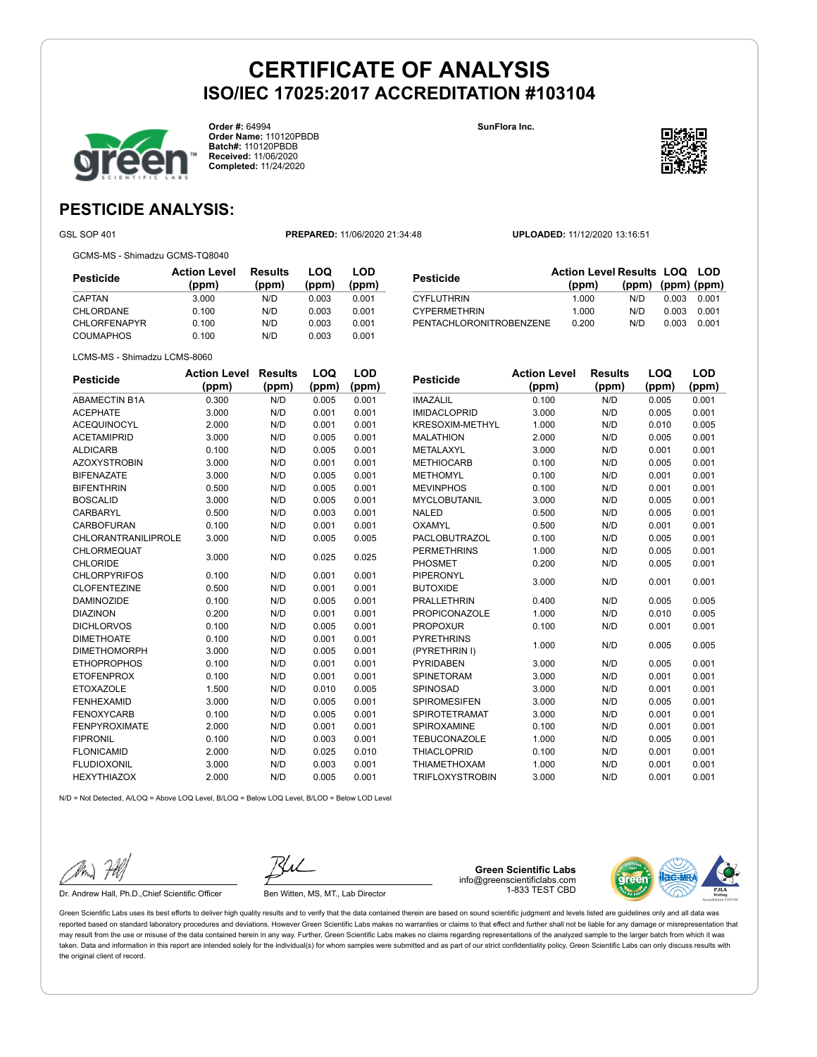

**Order #:** 64994 **Order Name:** 110120PBDB **Batch#:** 110120PBDB **Received:** 11/06/2020 **Completed:** 11/24/2020

**SunFlora Inc.**



**LOQ**

**LOD**

## **PESTICIDE ANALYSIS:**

GSL SOP 401 **PREPARED:** 11/06/2020 21:34:48 **UPLOADED:** 11/12/2020 13:16:51

GCMS-MS - Shimadzu GCMS-TQ8040

| Pesticide           | <b>Action Level</b><br>(ppm) | <b>Results</b><br>(ppm) | LOQ<br>(ppm) | LOD<br>(ppm) |
|---------------------|------------------------------|-------------------------|--------------|--------------|
| CAPTAN              | 3.000                        | N/D                     | 0.003        | 0.001        |
| <b>CHLORDANE</b>    | 0.100                        | N/D                     | 0.003        | 0.001        |
| <b>CHLORFENAPYR</b> | 0.100                        | N/D                     | 0.003        | 0.001        |
| <b>COUMAPHOS</b>    | 0.100                        | N/D                     | 0.003        | 0.001        |

| <b>Pesticide</b>        | <b>Action Level Results LOQ LOD</b> |                   |       |       |
|-------------------------|-------------------------------------|-------------------|-------|-------|
|                         | (ppm)                               | (ppm) (ppm) (ppm) |       |       |
| <b>CYFLUTHRIN</b>       | 1.000                               | N/D               | 0.003 | 0.001 |
| <b>CYPERMETHRIN</b>     | 1.000                               | N/D               | 0.003 | 0.001 |
| PENTACHLORONITROBENZENE | 0.200                               | N/D               | 0.003 | 0.001 |

| A                            |
|------------------------------|
| LCMS-MS - Shimadzu LCMS-8060 |

| <b>Pesticide</b>           | <b>Action Level</b> | <b>Results</b> | LOQ   | LOD   |
|----------------------------|---------------------|----------------|-------|-------|
|                            | (ppm)               | (ppm)          | (ppm) | (ppm) |
| <b>ABAMECTIN B1A</b>       | 0.300               | N/D            | 0.005 | 0.001 |
| <b>ACEPHATE</b>            | 3.000               | N/D            | 0.001 | 0.001 |
| <b>ACEQUINOCYL</b>         | 2.000               | N/D            | 0.001 | 0.001 |
| <b>ACETAMIPRID</b>         | 3.000               | N/D            | 0.005 | 0.001 |
| <b>ALDICARB</b>            | 0.100               | N/D            | 0.005 | 0.001 |
| <b>AZOXYSTROBIN</b>        | 3.000               | N/D            | 0.001 | 0.001 |
| <b>BIFENAZATE</b>          | 3.000               | N/D            | 0.005 | 0.001 |
| <b>BIFENTHRIN</b>          | 0.500               | N/D            | 0.005 | 0.001 |
| <b>BOSCALID</b>            | 3.000               | N/D            | 0.005 | 0.001 |
| CARBARYL                   | 0.500               | N/D            | 0.003 | 0.001 |
| <b>CARBOFURAN</b>          | 0.100               | N/D            | 0.001 | 0.001 |
| <b>CHLORANTRANILIPROLE</b> | 3.000               | N/D            | 0.005 | 0.005 |
| CHLORMEQUAT                | 3.000               | N/D            | 0.025 | 0.025 |
| <b>CHLORIDE</b>            |                     |                |       |       |
| <b>CHLORPYRIFOS</b>        | 0.100               | N/D            | 0.001 | 0.001 |
| <b>CLOFENTEZINE</b>        | 0.500               | N/D            | 0.001 | 0.001 |
| <b>DAMINOZIDE</b>          | 0.100               | N/D            | 0.005 | 0.001 |
| <b>DIAZINON</b>            | 0.200               | N/D            | 0.001 | 0.001 |
| <b>DICHLORVOS</b>          | 0.100               | N/D            | 0.005 | 0.001 |
| <b>DIMETHOATE</b>          | 0.100               | N/D            | 0.001 | 0.001 |
| <b>DIMETHOMORPH</b>        | 3.000               | N/D            | 0.005 | 0.001 |
| <b>ETHOPROPHOS</b>         | 0.100               | N/D            | 0.001 | 0.001 |
| <b>ETOFENPROX</b>          | 0.100               | N/D            | 0.001 | 0.001 |
| <b>ETOXAZOLE</b>           | 1.500               | N/D            | 0.010 | 0.005 |
| <b>FENHEXAMID</b>          | 3.000               | N/D            | 0.005 | 0.001 |
| <b>FENOXYCARB</b>          | 0.100               | N/D            | 0.005 | 0.001 |
| <b>FENPYROXIMATE</b>       | 2.000               | N/D            | 0.001 | 0.001 |
| <b>FIPRONIL</b>            | 0.100               | N/D            | 0.003 | 0.001 |
| <b>FLONICAMID</b>          | 2.000               | N/D            | 0.025 | 0.010 |
| <b>FLUDIOXONIL</b>         | 3.000               | N/D            | 0.003 | 0.001 |
| <b>HEXYTHIAZOX</b>         | 2.000               | N/D            | 0.005 | 0.001 |

| <b>Pesticide</b>       | <b>Action Level</b> | <b>Results</b> | LOQ   | LOD   |
|------------------------|---------------------|----------------|-------|-------|
|                        | (ppm)               | (ppm)          | (ppm) | (ppm) |
| <b>IMAZALIL</b>        | 0.100               | N/D            | 0.005 | 0.001 |
| <b>IMIDACLOPRID</b>    | 3.000               | N/D            | 0.005 | 0.001 |
| KRESOXIM-METHYL        | 1.000               | N/D            | 0.010 | 0.005 |
| <b>MALATHION</b>       | 2.000               | N/D            | 0.005 | 0.001 |
| METALAXYL              | 3.000               | N/D            | 0.001 | 0.001 |
| <b>METHIOCARB</b>      | 0.100               | N/D            | 0.005 | 0.001 |
| <b>METHOMYL</b>        | 0.100               | N/D            | 0.001 | 0.001 |
| <b>MEVINPHOS</b>       | 0.100               | N/D            | 0.001 | 0.001 |
| <b>MYCLOBUTANIL</b>    | 3.000               | N/D            | 0.005 | 0.001 |
| <b>NALED</b>           | 0.500               | N/D            | 0.005 | 0.001 |
| <b>OXAMYL</b>          | 0.500               | N/D            | 0.001 | 0.001 |
| <b>PACLOBUTRAZOL</b>   | 0.100               | N/D            | 0.005 | 0.001 |
| <b>PERMETHRINS</b>     | 1.000               | N/D            | 0.005 | 0.001 |
| <b>PHOSMET</b>         | 0.200               | N/D            | 0.005 | 0.001 |
| <b>PIPERONYL</b>       | 3.000               | N/D            | 0.001 | 0.001 |
| <b>BUTOXIDE</b>        |                     |                |       |       |
| <b>PRALLETHRIN</b>     | 0.400               | N/D            | 0.005 | 0.005 |
| <b>PROPICONAZOLE</b>   | 1.000               | N/D            | 0.010 | 0.005 |
| <b>PROPOXUR</b>        | 0.100               | N/D            | 0.001 | 0.001 |
| <b>PYRETHRINS</b>      | 1.000               | N/D            | 0.005 | 0.005 |
| (PYRETHRIN I)          |                     |                |       |       |
| <b>PYRIDABEN</b>       | 3.000               | N/D            | 0.005 | 0.001 |
| <b>SPINETORAM</b>      | 3.000               | N/D            | 0.001 | 0.001 |
| SPINOSAD               | 3.000               | N/D            | 0.001 | 0.001 |
| <b>SPIROMESIFEN</b>    | 3.000               | N/D            | 0.005 | 0.001 |
| <b>SPIROTETRAMAT</b>   | 3.000               | N/D            | 0.001 | 0.001 |
| SPIROXAMINE            | 0.100               | N/D            | 0.001 | 0.001 |
| <b>TEBUCONAZOLE</b>    | 1.000               | N/D            | 0.005 | 0.001 |
| <b>THIACLOPRID</b>     | 0.100               | N/D            | 0.001 | 0.001 |
| <b>THIAMETHOXAM</b>    | 1.000               | N/D            | 0.001 | 0.001 |
| <b>TRIFLOXYSTROBIN</b> | 3.000               | N/D            | 0.001 | 0.001 |

 $N/D = N$ ot Detected, A/LOQ = Above LOQ Level, B/LOQ = Below LOQ Level, B/LOD = Below LOD Level

Dr. Andrew Hall, Ph.D., Chief Scientific Officer Ben Witten, MS, MT., Lab Director

**Green Scientific Labs** info@greenscientificlabs.com 1-833 TEST CBD

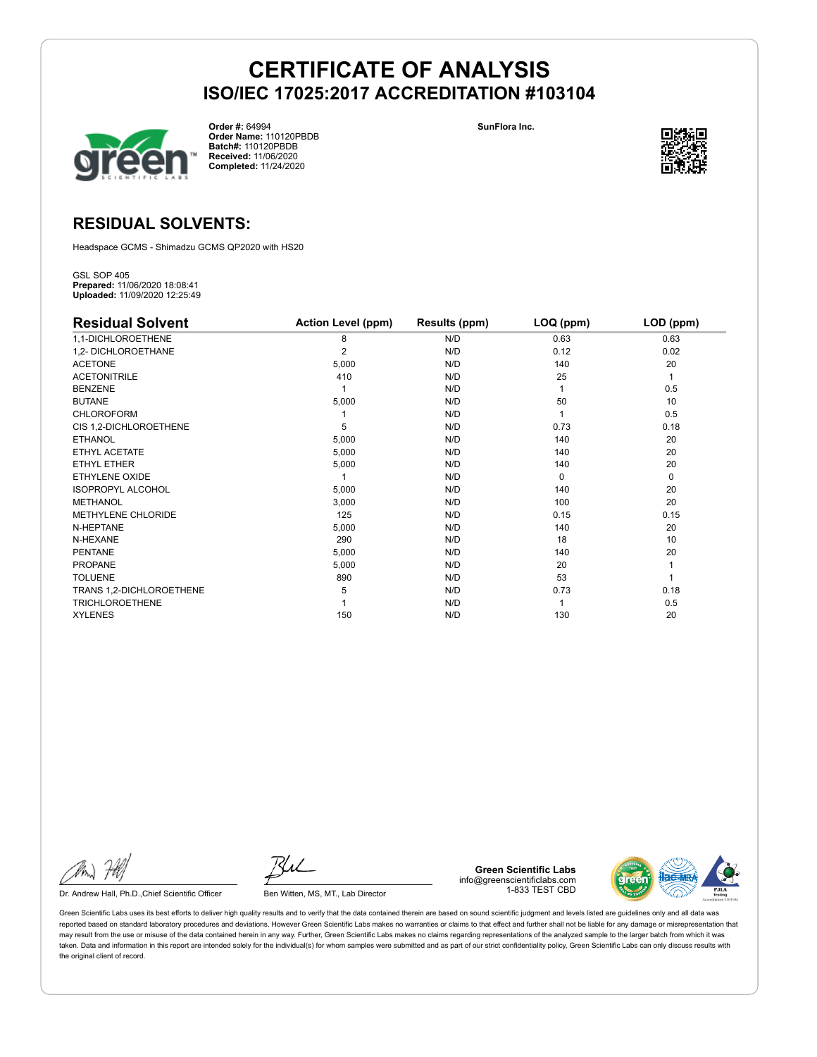

**Order #:** 64994 **Order Name:** 110120PBDB **Batch#:** 110120PBDB **Received:** 11/06/2020 **Completed:** 11/24/2020

**SunFlora Inc.**



### **RESIDUAL SOLVENTS:**

Headspace GCMS - Shimadzu GCMS QP2020 with HS20

GSL SOP 405 **Prepared:** 11/06/2020 18:08:41 **Uploaded:** 11/09/2020 12:25:49

| <b>Residual Solvent</b>   | <b>Action Level (ppm)</b> | Results (ppm) | LOQ (ppm) | LOD (ppm) |
|---------------------------|---------------------------|---------------|-----------|-----------|
| 1,1-DICHLOROETHENE        | 8                         | N/D           | 0.63      | 0.63      |
| 1,2- DICHLOROETHANE       | 2                         | N/D           | 0.12      | 0.02      |
| <b>ACETONE</b>            | 5,000                     | N/D           | 140       | 20        |
| <b>ACETONITRILE</b>       | 410                       | N/D           | 25        | 1         |
| <b>BENZENE</b>            |                           | N/D           |           | 0.5       |
| <b>BUTANE</b>             | 5,000                     | N/D           | 50        | 10        |
| <b>CHLOROFORM</b>         |                           | N/D           |           | 0.5       |
| CIS 1,2-DICHLOROETHENE    | 5                         | N/D           | 0.73      | 0.18      |
| <b>ETHANOL</b>            | 5,000                     | N/D           | 140       | 20        |
| ETHYL ACETATE             | 5,000                     | N/D           | 140       | 20        |
| <b>ETHYL ETHER</b>        | 5,000                     | N/D           | 140       | 20        |
| ETHYLENE OXIDE            |                           | N/D           | $\Omega$  | 0         |
| <b>ISOPROPYL ALCOHOL</b>  | 5,000                     | N/D           | 140       | 20        |
| <b>METHANOL</b>           | 3,000                     | N/D           | 100       | 20        |
| <b>METHYLENE CHLORIDE</b> | 125                       | N/D           | 0.15      | 0.15      |
| N-HEPTANE                 | 5,000                     | N/D           | 140       | 20        |
| N-HEXANE                  | 290                       | N/D           | 18        | 10        |
| <b>PENTANE</b>            | 5,000                     | N/D           | 140       | 20        |
| <b>PROPANE</b>            | 5,000                     | N/D           | 20        |           |
| <b>TOLUENE</b>            | 890                       | N/D           | 53        |           |
| TRANS 1,2-DICHLOROETHENE  | 5                         | N/D           | 0.73      | 0.18      |
| <b>TRICHLOROETHENE</b>    |                           | N/D           |           | 0.5       |
| <b>XYLENES</b>            | 150                       | N/D           | 130       | 20        |

Dr. Andrew Hall, Ph.D., Chief Scientific Officer Ben Witten, MS, MT., Lab Director

**Green Scientific Labs** info@greenscientificlabs.com 1-833 TEST CBD

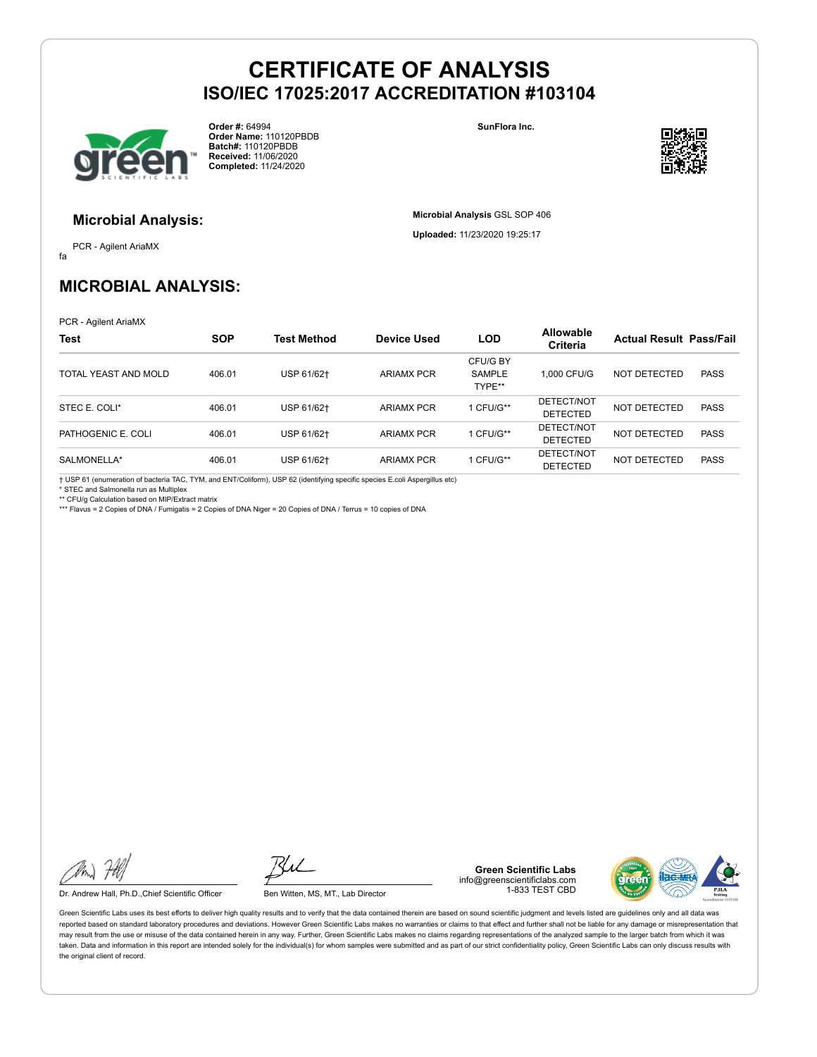

**Order #:** 64994 **Order Name:** 110120PBDB **Batch#:** 110120PBDB **Received:** 11/06/2020 **Completed:** 11/24/2020

**SunFlora Inc.**

**Microbial Analysis** GSL SOP 406 **Uploaded:** 11/23/2020 19:25:17



### **Microbial Analysis:**

fa PCR - Agilent AriaMX

**MICROBIAL ANALYSIS:**

PCR - Agilent AriaMX

| <b>Test</b>          | <b>SOP</b> | Test Method | Device Used       | <b>LOD</b>                   | <b>Allowable</b><br><b>Criteria</b> | <b>Actual Result Pass/Fail</b> |             |
|----------------------|------------|-------------|-------------------|------------------------------|-------------------------------------|--------------------------------|-------------|
| TOTAL YEAST AND MOLD | 406.01     | USP 61/62+  | <b>ARIAMX PCR</b> | CFU/G BY<br>SAMPLE<br>TYPE** | 1.000 CFU/G                         | NOT DETECTED                   | <b>PASS</b> |
| STEC E. COLI*        | 406.01     | USP 61/62+  | <b>ARIAMX PCR</b> | CFU/G**                      | DETECT/NOT<br><b>DETECTED</b>       | NOT DETECTED                   | <b>PASS</b> |
| PATHOGENIC E. COLI   | 406.01     | USP 61/62+  | <b>ARIAMX PCR</b> | CFU/G**                      | DETECT/NOT<br>DETECTED              | NOT DETECTED                   | <b>PASS</b> |
| SALMONELLA*          | 406.01     | USP 61/62+  | <b>ARIAMX PCR</b> | CFU/G**                      | DETECT/NOT<br><b>DETECTED</b>       | NOT DETECTED                   | <b>PASS</b> |

† USP 61 (enumeration of bacteria TAC, TYM, and ENT/Coliform), USP 62 (identifying specific species E.coli Aspergillus etc)

\* STEC and Salmonella run as Multiplex

\*\* CFU/g Calculation based on MIP/Extract matrix \*\*\* Flavus = 2 Copies of DNA / Fumigatis = 2 Copies of DNA Niger = 20 Copies of DNA / Terrus = 10 copies of DNA

Dr. Andrew Hall, Ph.D., Chief Scientific Officer Ben Witten, MS, MT., Lab Director

**Green Scientific Labs** info@greenscientificlabs.com 1-833 TEST CBD